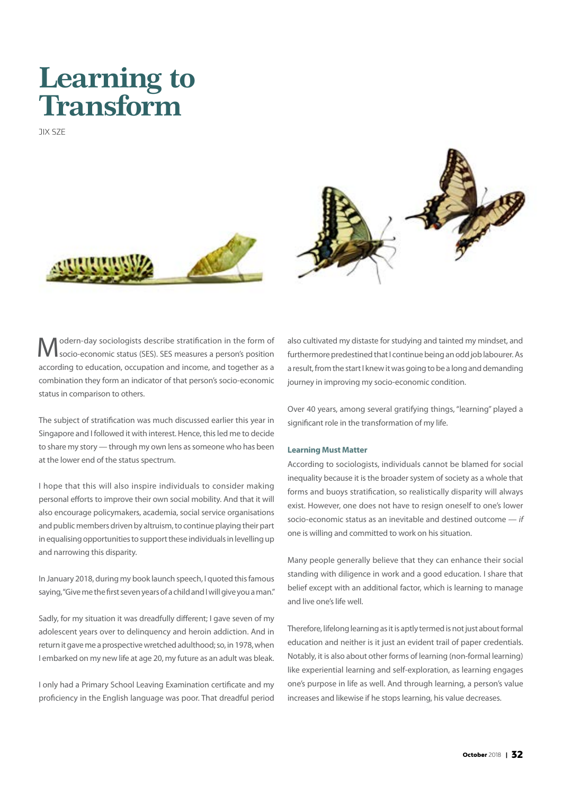# **Learning to Transform**

JIX SZE





Modern-day sociologists describe stratification in the form of socio-economic status (SES). SES measures a person's position according to education, occupation and income, and together as a combination they form an indicator of that person's socio-economic status in comparison to others.

The subject of stratification was much discussed earlier this year in Singapore and I followed it with interest. Hence, this led me to decide to share my story — through my own lens as someone who has been at the lower end of the status spectrum.

I hope that this will also inspire individuals to consider making personal efforts to improve their own social mobility. And that it will also encourage policymakers, academia, social service organisations and public members driven by altruism, to continue playing their part in equalising opportunities to support these individuals in levelling up and narrowing this disparity.

In January 2018, during my book launch speech, I quoted this famous saying, "Give me the first seven years of a child and I will give you a man."

Sadly, for my situation it was dreadfully different; I gave seven of my adolescent years over to delinquency and heroin addiction. And in return it gave me a prospective wretched adulthood; so, in 1978, when I embarked on my new life at age 20, my future as an adult was bleak.

I only had a Primary School Leaving Examination certificate and my proficiency in the English language was poor. That dreadful period

also cultivated my distaste for studying and tainted my mindset, and furthermore predestined that I continue being an odd job labourer. As a result, from the start I knew it was going to be a long and demanding journey in improving my socio-economic condition.

Over 40 years, among several gratifying things, "learning" played a significant role in the transformation of my life.

## **Learning Must Matter**

According to sociologists, individuals cannot be blamed for social inequality because it is the broader system of society as a whole that forms and buoys stratification, so realistically disparity will always exist. However, one does not have to resign oneself to one's lower socio-economic status as an inevitable and destined outcome — *if* one is willing and committed to work on his situation.

Many people generally believe that they can enhance their social standing with diligence in work and a good education. I share that belief except with an additional factor, which is learning to manage and live one's life well.

Therefore, lifelong learning as it is aptly termed is not just about formal education and neither is it just an evident trail of paper credentials. Notably, it is also about other forms of learning (non-formal learning) like experiential learning and self-exploration, as learning engages one's purpose in life as well. And through learning, a person's value increases and likewise if he stops learning, his value decreases.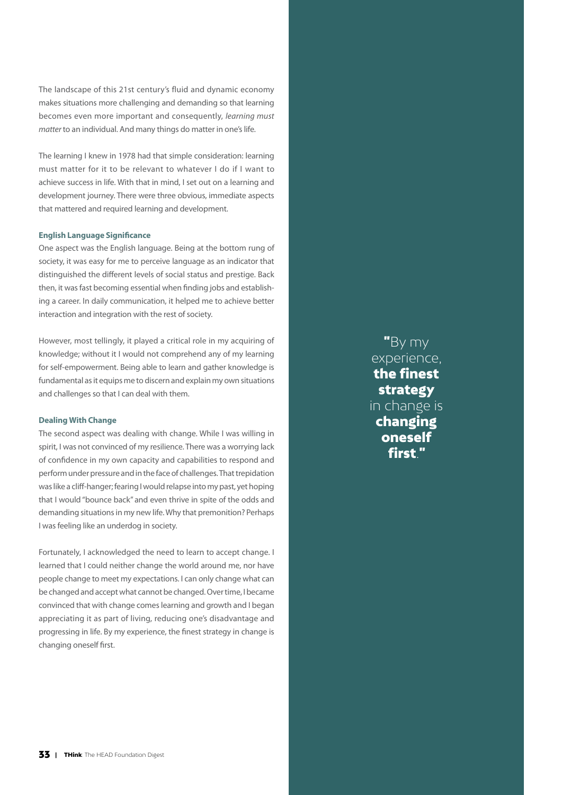The landscape of this 21st century's fluid and dynamic economy makes situations more challenging and demanding so that learning becomes even more important and consequently, *learning must matter* to an individual. And many things do matter in one's life.

The learning I knew in 1978 had that simple consideration: learning must matter for it to be relevant to whatever I do if I want to achieve success in life. With that in mind, I set out on a learning and development journey. There were three obvious, immediate aspects that mattered and required learning and development.

### **English Language Significance**

One aspect was the English language. Being at the bottom rung of society, it was easy for me to perceive language as an indicator that distinguished the different levels of social status and prestige. Back then, it was fast becoming essential when finding jobs and establishing a career. In daily communication, it helped me to achieve better interaction and integration with the rest of society.

However, most tellingly, it played a critical role in my acquiring of knowledge; without it I would not comprehend any of my learning for self-empowerment. Being able to learn and gather knowledge is fundamental as it equips me to discern and explain my own situations and challenges so that I can deal with them.

#### **Dealing With Change**

The second aspect was dealing with change. While I was willing in spirit, I was not convinced of my resilience. There was a worrying lack of confidence in my own capacity and capabilities to respond and perform under pressure and in the face of challenges. That trepidation was like a cliff-hanger; fearing I would relapse into my past, yet hoping that I would "bounce back" and even thrive in spite of the odds and demanding situations in my new life. Why that premonition? Perhaps I was feeling like an underdog in society.

Fortunately, I acknowledged the need to learn to accept change. I learned that I could neither change the world around me, nor have people change to meet my expectations. I can only change what can be changed and accept what cannot be changed. Over time, I became convinced that with change comes learning and growth and I began appreciating it as part of living, reducing one's disadvantage and progressing in life. By my experience, the finest strategy in change is changing oneself first.

"By my experience, the finest strategy in change is changing oneself first."